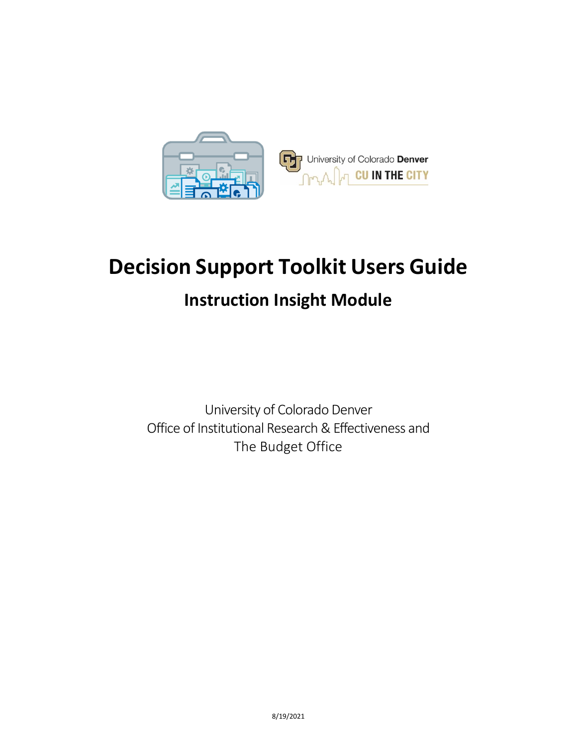

# **Decision Support Toolkit Users Guide**

### **Instruction Insight Module**

University of Colorado Denver Office of Institutional Research & Effectiveness and The Budget Office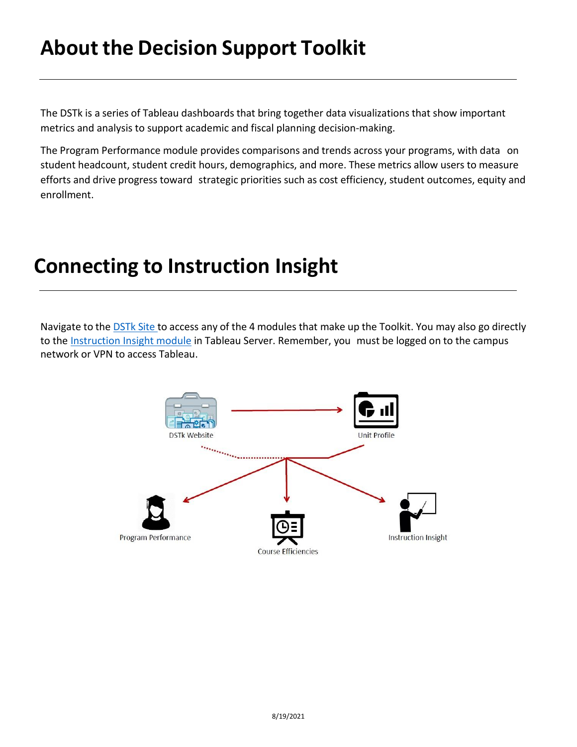## **About the Decision Support Toolkit**

The DSTk is a series of Tableau dashboards that bring together data visualizations that show important metrics and analysis to support academic and fiscal planning decision-making.

The Program Performance module provides comparisons and trends across your programs, with data on student headcount, student credit hours, demographics, and more. These metrics allow users to measure efforts and drive progress toward strategic priorities such as cost efficiency, student outcomes, equity and enrollment.

### **Connecting to Instruction Insight**

Navigate to the **[DSTk](https://www1.ucdenver.edu/offices/institutional-research-and-effectiveness/decision-support-toolkit) Site to access any of the 4 modules that make up the Toolkit. You may also go directly** to the [Instruction Insight module](https://tableau.ucdenver.edu/#/site/University/views/DSTkInstructionInsight/InstructionInsight?:iid=1) in Tableau Server. Remember, you must be logged on to the campus network or VPN to access Tableau.

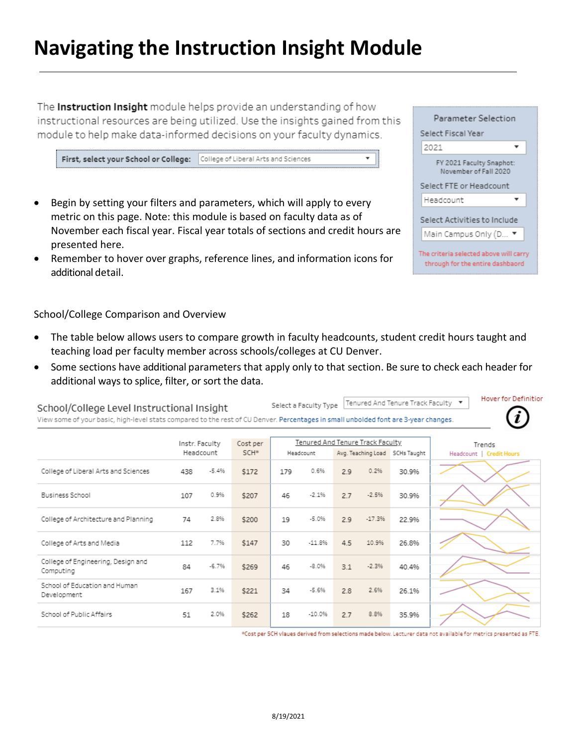## **Navigating the Instruction Insight Module**

The Instruction Insight module helps provide an understanding of how instructional resources are being utilized. Use the insights gained from this module to help make data-informed decisions on your faculty dynamics.

First, select your School or College: College of Liberal Arts and Sciences

- Begin by setting your filters and parameters, which will apply to every metric on this page. Note: this module is based on faculty data as of November each fiscal year. Fiscal year totals of sections and credit hours are presented here.
- Remember to hover over graphs, reference lines, and information icons for additional detail.

School/College Comparison and Overview

- The table below allows users to compare growth in faculty headcounts, student credit hours taught and teaching load per faculty member across schools/colleges at CU Denver.
- Some sections have additional parameters that apply only to that section. Be sure to check each header for additional ways to splice, filter, or sort the data.

Select a Faculty Type School/College Level Instructional Insight View some of your basic, high-level stats compared to the rest of CU Denver. Percentages in small unbolded font are 3-year changes. Tenured And Tenure Track Faculty Cost per Instr. Faculty Trends Headcount SCH\* Headcount Avg. Teaching Load SCHs Taught Headcount | Credit Hours College of Liberal Arts and Sciences  $-5.4%$  $0.6%$  $0.2%$ 438  $$172$ 179  $29$ 30.9% Business School 0.9% \$207 46  $-2.1%$  $-2.5%$ 30.9% 107  $2.7$ College of Architecture and Planning 2.8%  $-5.0%$  $-17.3%$ 74 \$200 19 2.9 22 9% 7.7% College of Arts and Media 112  $$147$ 30  $-11.8%$  $4.5$ 10.9% 26.8% College of Engineering, Design and  $-6.7%$  $-8.0%$  $-2.3%$ 40.4% 84 \$269 46  $3.1$ Computing School of Education and Human 167 3.1% \$221 34  $-5.6%$ 2.6%  $2.8$ 26.1% Development School of Public Affairs 51 2.0% \$262 18  $-10.0%$  $2.7$ 8.8% 35.9%

\*Cost per SCH vlaues derived from selections made below. Lecturer data not available for metrics presented as FTE.

| Parameter Selection                                                        |
|----------------------------------------------------------------------------|
| Select Fiscal Year                                                         |
| 2021                                                                       |
| FY 2021 Faculty Snaphot:<br>November of Fall 2020                          |
| Select FTE or Headcount                                                    |
| Headcount                                                                  |
| Select Activities to Include                                               |
| Main Campus Only (D ▼                                                      |
| The criteria selected above will carry<br>through for the entire dashbaord |

Hover for Definition Tenured And Tenure Track Faculty ▼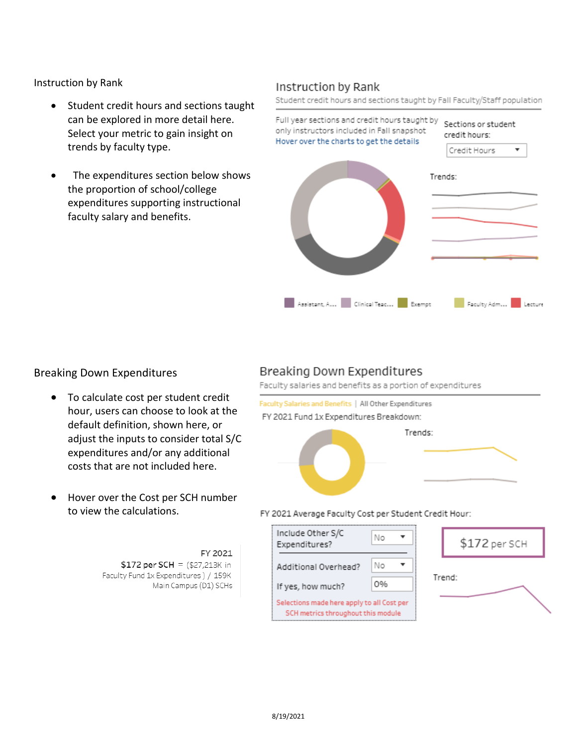Instruction by Rank

- Student credit hours and sections taught can be explored in more detail here. Select your metric to gain insight on trends by faculty type.
- The expenditures section below shows the proportion of school/college expenditures supporting instructional faculty salary and benefits.

#### Instruction by Rank

Student credit hours and sections taught by Fall Faculty/Staff population



#### Breaking Down Expenditures

- To calculate cost per student credit hour, users can choose to look at the default definition, shown here, or adjust the inputs to consider total S/C expenditures and/or any additional costs that are not included here.
- Hover over the Cost per SCH number to view the calculations.

#### FY 2021 \$172 per SCH =  $($27,213K \text{ in}$ Faculty Fund 1x Expenditures ) / 159K Main Campus (D1) SCHs

#### Breaking Down Expenditures

Faculty salaries and benefits as a portion of expenditures



#### FY 2021 Average Faculty Cost per Student Credit Hour:

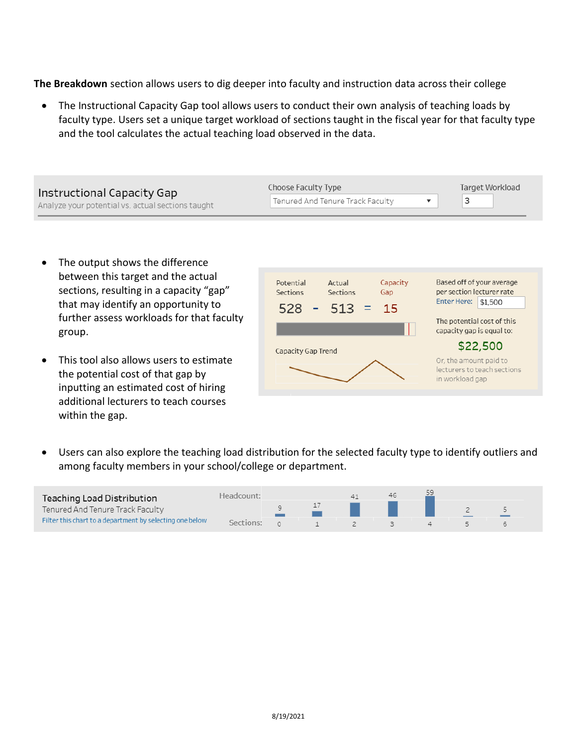**The Breakdown** section allows users to dig deeper into faculty and instruction data across their college

• The Instructional Capacity Gap tool allows users to conduct their own analysis of teaching loads by faculty type. Users set a unique target workload of sections taught in the fiscal year for that faculty type and the tool calculates the actual teaching load observed in the data.

| Instructional Capacity Gap                        | Choose Faculty Type              | Target Workload |  |  |
|---------------------------------------------------|----------------------------------|-----------------|--|--|
| Analyze your potential vs. actual sections taught | Tenured And Tenure Track Faculty |                 |  |  |

- The output shows the difference between this target and the actual sections, resulting in a capacity "gap" that may identify an opportunity to further assess workloads for that faculty group.
- This tool also allows users to estimate the potential cost of that gap by inputting an estimated cost of hiring additional lecturers to teach courses within the gap.



• Users can also explore the teaching load distribution for the selected faculty type to identify outliers and among faculty members in your school/college or department.

| <b>Teaching Load Distribution</b>                        | Headcount: |  | 46 |  |  |
|----------------------------------------------------------|------------|--|----|--|--|
| Tenured And Tenure Track Faculty                         |            |  |    |  |  |
| Filter this chart to a department by selecting one below | Sections:  |  |    |  |  |